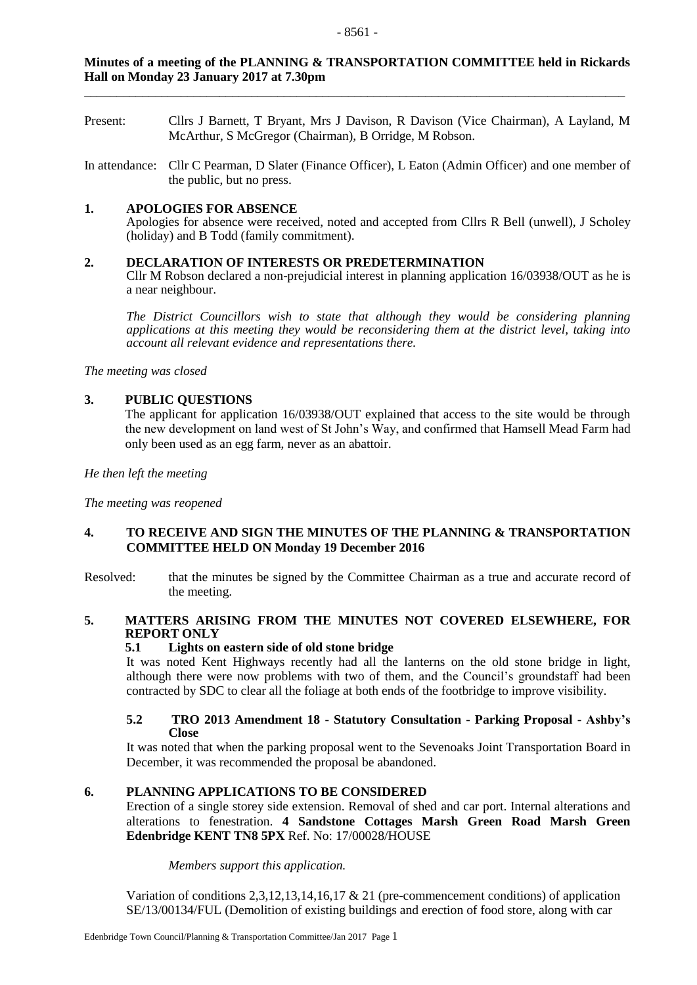# **Minutes of a meeting of the PLANNING & TRANSPORTATION COMMITTEE held in Rickards Hall on Monday 23 January 2017 at 7.30pm**

\_\_\_\_\_\_\_\_\_\_\_\_\_\_\_\_\_\_\_\_\_\_\_\_\_\_\_\_\_\_\_\_\_\_\_\_\_\_\_\_\_\_\_\_\_\_\_\_\_\_\_\_\_\_\_\_\_\_\_\_\_\_\_\_\_\_\_\_\_\_\_\_\_\_\_\_\_\_\_\_\_\_\_\_

- Present: Cllrs J Barnett, T Bryant, Mrs J Davison, R Davison (Vice Chairman), A Layland, M McArthur, S McGregor (Chairman), B Orridge, M Robson.
- In attendance: Cllr C Pearman, D Slater (Finance Officer), L Eaton (Admin Officer) and one member of the public, but no press.

# **1. APOLOGIES FOR ABSENCE**

Apologies for absence were received, noted and accepted from Cllrs R Bell (unwell), J Scholey (holiday) and B Todd (family commitment).

# **2. DECLARATION OF INTERESTS OR PREDETERMINATION**

Cllr M Robson declared a non-prejudicial interest in planning application 16/03938/OUT as he is a near neighbour.

*The District Councillors wish to state that although they would be considering planning applications at this meeting they would be reconsidering them at the district level, taking into account all relevant evidence and representations there.* 

*The meeting was closed*

# **3. PUBLIC QUESTIONS**

The applicant for application 16/03938/OUT explained that access to the site would be through the new development on land west of St John's Way, and confirmed that Hamsell Mead Farm had only been used as an egg farm, never as an abattoir.

*He then left the meeting*

*The meeting was reopened*

# **4. TO RECEIVE AND SIGN THE MINUTES OF THE PLANNING & TRANSPORTATION COMMITTEE HELD ON Monday 19 December 2016**

Resolved: that the minutes be signed by the Committee Chairman as a true and accurate record of the meeting.

# **5. MATTERS ARISING FROM THE MINUTES NOT COVERED ELSEWHERE, FOR REPORT ONLY**

# **5.1 Lights on eastern side of old stone bridge**

It was noted Kent Highways recently had all the lanterns on the old stone bridge in light, although there were now problems with two of them, and the Council's groundstaff had been contracted by SDC to clear all the foliage at both ends of the footbridge to improve visibility.

#### **5.2 TRO 2013 Amendment 18 - Statutory Consultation - Parking Proposal - Ashby's Close**

It was noted that when the parking proposal went to the Sevenoaks Joint Transportation Board in December, it was recommended the proposal be abandoned.

# **6. PLANNING APPLICATIONS TO BE CONSIDERED**

Erection of a single storey side extension. Removal of shed and car port. Internal alterations and alterations to fenestration. **4 Sandstone Cottages Marsh Green Road Marsh Green Edenbridge KENT TN8 5PX** Ref. No: 17/00028/HOUSE

*Members support this application.*

Variation of conditions 2,3,12,13,14,16,17 & 21 (pre-commencement conditions) of application SE/13/00134/FUL (Demolition of existing buildings and erection of food store, along with car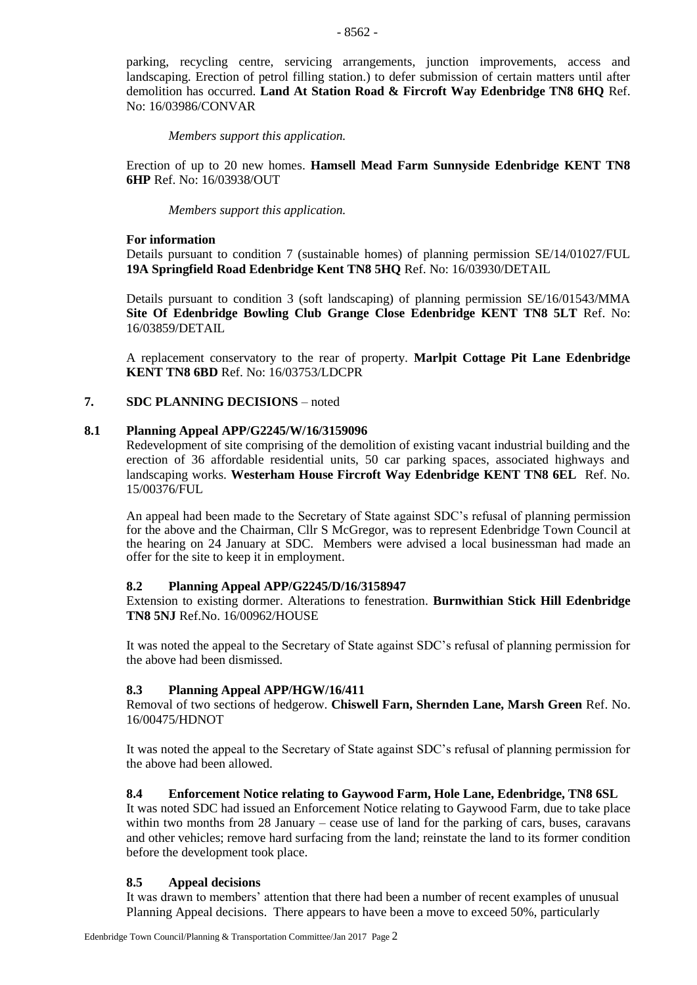parking, recycling centre, servicing arrangements, junction improvements, access and landscaping. Erection of petrol filling station.) to defer submission of certain matters until after demolition has occurred. **Land At Station Road & Fircroft Way Edenbridge TN8 6HQ** Ref. No: 16/03986/CONVAR

*Members support this application.*

Erection of up to 20 new homes. **Hamsell Mead Farm Sunnyside Edenbridge KENT TN8 6HP** Ref. No: 16/03938/OUT

*Members support this application.*

#### **For information**

Details pursuant to condition 7 (sustainable homes) of planning permission SE/14/01027/FUL **19A Springfield Road Edenbridge Kent TN8 5HQ** Ref. No: 16/03930/DETAIL

Details pursuant to condition 3 (soft landscaping) of planning permission SE/16/01543/MMA **Site Of Edenbridge Bowling Club Grange Close Edenbridge KENT TN8 5LT** Ref. No: 16/03859/DETAIL

A replacement conservatory to the rear of property. **Marlpit Cottage Pit Lane Edenbridge KENT TN8 6BD** Ref. No: 16/03753/LDCPR

#### **7. SDC PLANNING DECISIONS** – noted

#### **8.1 Planning Appeal APP/G2245/W/16/3159096**

Redevelopment of site comprising of the demolition of existing vacant industrial building and the erection of 36 affordable residential units, 50 car parking spaces, associated highways and landscaping works. **Westerham House Fircroft Way Edenbridge KENT TN8 6EL** Ref. No. 15/00376/FUL

An appeal had been made to the Secretary of State against SDC's refusal of planning permission for the above and the Chairman, Cllr S McGregor, was to represent Edenbridge Town Council at the hearing on 24 January at SDC. Members were advised a local businessman had made an offer for the site to keep it in employment.

#### **8.2 Planning Appeal APP/G2245/D/16/3158947**

Extension to existing dormer. Alterations to fenestration. **Burnwithian Stick Hill Edenbridge TN8 5NJ** Ref.No. 16/00962/HOUSE

It was noted the appeal to the Secretary of State against SDC's refusal of planning permission for the above had been dismissed.

#### **8.3 Planning Appeal APP/HGW/16/411**

Removal of two sections of hedgerow. **Chiswell Farn, Shernden Lane, Marsh Green** Ref. No. 16/00475/HDNOT

It was noted the appeal to the Secretary of State against SDC's refusal of planning permission for the above had been allowed.

#### **8.4 Enforcement Notice relating to Gaywood Farm, Hole Lane, Edenbridge, TN8 6SL**

It was noted SDC had issued an Enforcement Notice relating to Gaywood Farm, due to take place within two months from 28 January – cease use of land for the parking of cars, buses, caravans and other vehicles; remove hard surfacing from the land; reinstate the land to its former condition before the development took place.

#### **8.5 Appeal decisions**

It was drawn to members' attention that there had been a number of recent examples of unusual Planning Appeal decisions. There appears to have been a move to exceed 50%, particularly